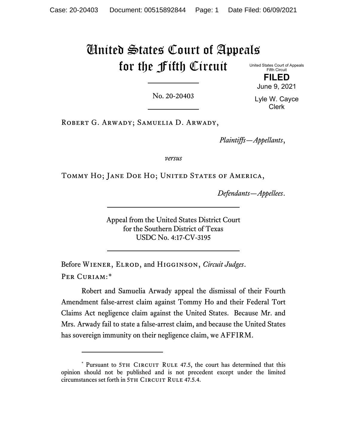# United States Court of Appeals for the Fifth Circuit

United States Court of Appeals Fifth Circuit **FILED**

No. 20-20403

Lyle W. Cayce Clerk

June 9, 2021

Robert G. Arwady; Samuelia D. Arwady,

*Plaintiffs—Appellants*,

*versus*

TOMMY HO; JANE DOE HO; UNITED STATES OF AMERICA,

*Defendants—Appellees*.

Appeal from the United States District Court for the Southern District of Texas USDC No. 4:17-CV-3195

Before Wiener, Elrod, and Higginson, *Circuit Judges*. PER CURIAM:[\\*](#page-0-0)

Robert and Samuelia Arwady appeal the dismissal of their Fourth Amendment false-arrest claim against Tommy Ho and their Federal Tort Claims Act negligence claim against the United States. Because Mr. and Mrs. Arwady fail to state a false-arrest claim, and because the United States has sovereign immunity on their negligence claim, we AFFIRM.

<span id="page-0-0"></span><sup>\*</sup> Pursuant to 5TH CIRCUIT RULE 47.5, the court has determined that this opinion should not be published and is not precedent except under the limited circumstances set forth in 5TH CIRCUIT RULE 47.5.4.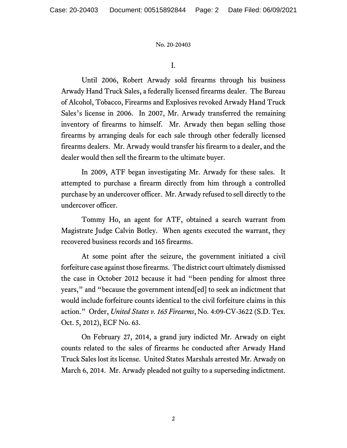I.

Until 2006, Robert Arwady sold firearms through his business Arwady Hand Truck Sales, a federally licensed firearms dealer. The Bureau of Alcohol, Tobacco, Firearms and Explosives revoked Arwady Hand Truck Sales's license in 2006. In 2007, Mr. Arwady transferred the remaining inventory of firearms to himself. Mr. Arwady then began selling those firearms by arranging deals for each sale through other federally licensed firearms dealers. Mr. Arwady would transfer his firearm to a dealer, and the dealer would then sell the firearm to the ultimate buyer.

In 2009, ATF began investigating Mr. Arwady for these sales. It attempted to purchase a firearm directly from him through a controlled purchase by an undercover officer. Mr. Arwady refused to sell directly to the undercover officer.

Tommy Ho, an agent for ATF, obtained a search warrant from Magistrate Judge Calvin Botley. When agents executed the warrant, they recovered business records and 165 firearms.

At some point after the seizure, the government initiated a civil forfeiture case against those firearms. The district court ultimately dismissed the case in October 2012 because it had "been pending for almost three years," and "because the government intend[ed] to seek an indictment that would include forfeiture counts identical to the civil forfeiture claims in this action." Order, *United States v. 165 Firearms*, No. 4:09-CV-3622 (S.D. Tex. Oct. 5, 2012), ECF No. 63.

On February 27, 2014, a grand jury indicted Mr. Arwady on eight counts related to the sales of firearms he conducted after Arwady Hand Truck Sales lost its license. United States Marshals arrested Mr. Arwady on March 6, 2014. Mr. Arwady pleaded not guilty to a superseding indictment.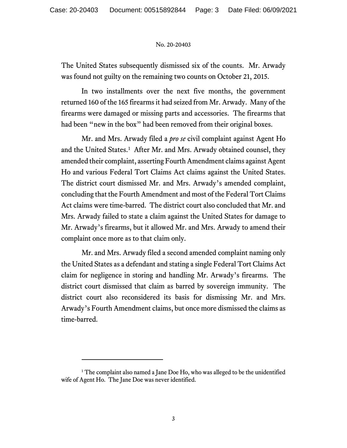The United States subsequently dismissed six of the counts. Mr. Arwady was found not guilty on the remaining two counts on October 21, 2015.

In two installments over the next five months, the government returned 160 of the 165 firearms it had seized from Mr. Arwady. Many of the firearms were damaged or missing parts and accessories. The firearms that had been "new in the box" had been removed from their original boxes.

Mr. and Mrs. Arwady filed a *pro se* civil complaint against Agent Ho and the United States.<sup>[1](#page-2-0)</sup> After Mr. and Mrs. Arwady obtained counsel, they amended their complaint, asserting Fourth Amendment claims against Agent Ho and various Federal Tort Claims Act claims against the United States. The district court dismissed Mr. and Mrs. Arwady's amended complaint, concluding that the Fourth Amendment and most of the Federal Tort Claims Act claims were time-barred. The district court also concluded that Mr. and Mrs. Arwady failed to state a claim against the United States for damage to Mr. Arwady's firearms, but it allowed Mr. and Mrs. Arwady to amend their complaint once more as to that claim only.

Mr. and Mrs. Arwady filed a second amended complaint naming only the United States as a defendant and stating a single Federal Tort Claims Act claim for negligence in storing and handling Mr. Arwady's firearms. The district court dismissed that claim as barred by sovereign immunity. The district court also reconsidered its basis for dismissing Mr. and Mrs. Arwady's Fourth Amendment claims, but once more dismissed the claims as time-barred.

<span id="page-2-0"></span><sup>&</sup>lt;sup>1</sup> The complaint also named a Jane Doe Ho, who was alleged to be the unidentified wife of Agent Ho. The Jane Doe was never identified.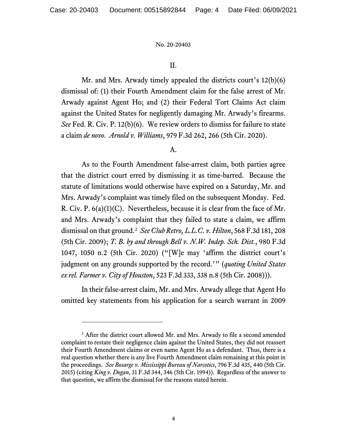# II.

Mr. and Mrs. Arwady timely appealed the districts court's 12(b)(6) dismissal of: (1) their Fourth Amendment claim for the false arrest of Mr. Arwady against Agent Ho; and (2) their Federal Tort Claims Act claim against the United States for negligently damaging Mr. Arwady's firearms. *See* Fed. R. Civ. P. 12(b)(6). We review orders to dismiss for failure to state a claim *de novo*. *Arnold v. Williams*, 979 F.3d 262, 266 (5th Cir. 2020).

## A.

As to the Fourth Amendment false-arrest claim, both parties agree that the district court erred by dismissing it as time-barred. Because the statute of limitations would otherwise have expired on a Saturday, Mr. and Mrs. Arwady's complaint was timely filed on the subsequent Monday. Fed. R. Civ. P. 6(a)(1)(C). Nevertheless, because it is clear from the face of Mr. and Mrs. Arwady's complaint that they failed to state a claim, we affirm dismissal on that ground.[2](#page-3-0) *See Club Retro, L.L.C. v. Hilton*, 568 F.3d 181, 208 (5th Cir. 2009); *T. B. by and through Bell v. N.W. Indep. Sch. Dist.*, 980 F.3d 1047, 1050 n.2 (5th Cir. 2020) ("[W]e may 'affirm the district court's judgment on any grounds supported by the record.'" (*quoting United States ex rel. Farmer v. City of Houston*, 523 F.3d 333, 338 n.8 (5th Cir. 2008))).

In their false-arrest claim, Mr. and Mrs. Arwady allege that Agent Ho omitted key statements from his application for a search warrant in 2009

<span id="page-3-0"></span><sup>&</sup>lt;sup>2</sup> After the district court allowed Mr. and Mrs. Arwady to file a second amended complaint to restate their negligence claim against the United States, they did not reassert their Fourth Amendment claims or even name Agent Ho as a defendant. Thus, there is a real question whether there is any live Fourth Amendment claim remaining at this point in the proceedings. *See Bosarge v. Mississippi Bureau of Narcotics*, 796 F.3d 435, 440 (5th Cir. 2015) (citing *King v. Dogan*, 31 F.3d 344, 346 (5th Cir. 1994)). Regardless of the answer to that question, we affirm the dismissal for the reasons stated herein.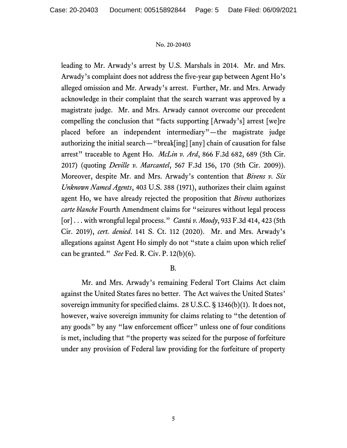leading to Mr. Arwady's arrest by U.S. Marshals in 2014. Mr. and Mrs. Arwady's complaint does not address the five-year gap between Agent Ho's alleged omission and Mr. Arwady's arrest. Further, Mr. and Mrs. Arwady acknowledge in their complaint that the search warrant was approved by a magistrate judge. Mr. and Mrs. Arwady cannot overcome our precedent compelling the conclusion that "facts supporting [Arwady's] arrest [we]re placed before an independent intermediary"—the magistrate judge authorizing the initial search—"break[ing] [any] chain of causation for false arrest" traceable to Agent Ho. *McLin v. Ard*, 866 F.3d 682, 689 (5th Cir. 2017) (quoting *Deville v. Marcantel*, 567 F.3d 156, 170 (5th Cir. 2009)). Moreover, despite Mr. and Mrs. Arwady's contention that *Bivens v. Six Unknown Named Agents*, 403 U.S. 388 (1971), authorizes their claim against agent Ho, we have already rejected the proposition that *Bivens* authorizes *carte blanche* Fourth Amendment claims for "seizures without legal process [or] . . . with wrongful legal process." *Cantú v. Moody*, 933 F.3d 414, 423 (5th Cir. 2019), *cert. denied*. 141 S. Ct. 112 (2020). Mr. and Mrs. Arwady's allegations against Agent Ho simply do not "state a claim upon which relief can be granted." *See* Fed. R. Civ. P. 12(b)(6).

# B.

Mr. and Mrs. Arwady's remaining Federal Tort Claims Act claim against the United States fares no better. The Act waives the United States' sovereign immunity for specified claims. 28 U.S.C. § 1346(b)(1). It does not, however, waive sovereign immunity for claims relating to "the detention of any goods" by any "law enforcement officer" unless one of four conditions is met, including that "the property was seized for the purpose of forfeiture under any provision of Federal law providing for the forfeiture of property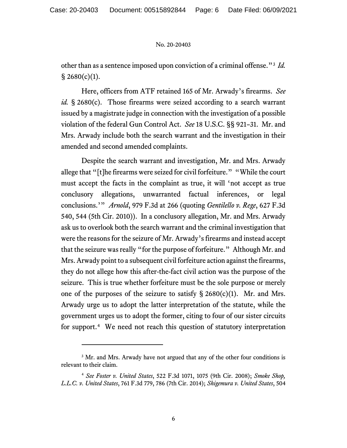other than as a sentence imposed upon conviction of a criminal offense."[3](#page-5-0) *Id.*  $§ 2680(c)(1).$ 

Here, officers from ATF retained 165 of Mr. Arwady's firearms. *See id.* § 2680(c). Those firearms were seized according to a search warrant issued by a magistrate judge in connection with the investigation of a possible violation of the federal Gun Control Act. *See* 18 U.S.C. §§ 921–31. Mr. and Mrs. Arwady include both the search warrant and the investigation in their amended and second amended complaints.

Despite the search warrant and investigation, Mr. and Mrs. Arwady allege that "[t]he firearms were seized for civil forfeiture." "While the court must accept the facts in the complaint as true, it will 'not accept as true conclusory allegations, unwarranted factual inferences, or legal conclusions.'" *Arnold*, 979 F.3d at 266 (quoting *Gentilello v. Rege*, 627 F.3d 540, 544 (5th Cir. 2010)). In a conclusory allegation, Mr. and Mrs. Arwady ask us to overlook both the search warrant and the criminal investigation that were the reasons for the seizure of Mr. Arwady's firearms and instead accept that the seizure was really "for the purpose of forfeiture." Although Mr. and Mrs. Arwady point to a subsequent civil forfeiture action against the firearms, they do not allege how this after-the-fact civil action was the purpose of the seizure. This is true whether forfeiture must be the sole purpose or merely one of the purposes of the seizure to satisfy  $\S 2680(c)(1)$ . Mr. and Mrs. Arwady urge us to adopt the latter interpretation of the statute, while the government urges us to adopt the former, citing to four of our sister circuits for support.<sup>[4](#page-5-1)</sup> We need not reach this question of statutory interpretation

<span id="page-5-0"></span><sup>&</sup>lt;sup>3</sup> Mr. and Mrs. Arwady have not argued that any of the other four conditions is relevant to their claim.

<span id="page-5-1"></span><sup>4</sup> *See Foster v. United States*, 522 F.3d 1071, 1075 (9th Cir. 2008); *Smoke Shop, L.L.C. v. United States*, 761 F.3d 779, 786 (7th Cir. 2014); *Shigemura v. United States*, 504